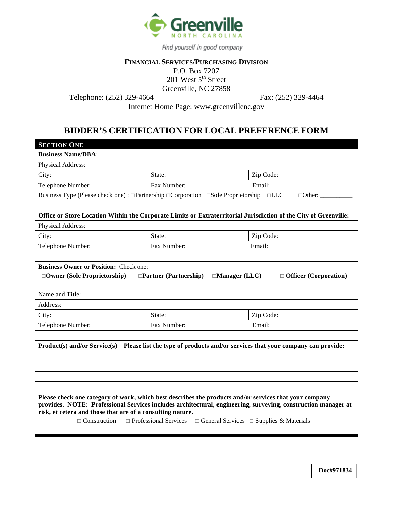

Find yourself in good company

# **FINANCIAL SERVICES/PURCHASING DIVISION**

P.O. Box 7207  $201$  West  $5<sup>th</sup>$  Street Greenville, NC 27858

Telephone: (252) 329-4664 Fax: (252) 329-4464

Internet Home Page: www.greenvillenc.gov

# **BIDDER'S CERTIFICATION FOR LOCAL PREFERENCE FORM**

| <b>SECTION ONE</b>                                                                                                         |                                                                                 |                             |  |  |  |  |  |
|----------------------------------------------------------------------------------------------------------------------------|---------------------------------------------------------------------------------|-----------------------------|--|--|--|--|--|
| <b>Business Name/DBA:</b>                                                                                                  |                                                                                 |                             |  |  |  |  |  |
| Physical Address:                                                                                                          |                                                                                 |                             |  |  |  |  |  |
| City:                                                                                                                      | State:                                                                          | Zip Code:                   |  |  |  |  |  |
| Telephone Number:                                                                                                          | Fax Number:                                                                     | Email:                      |  |  |  |  |  |
| Business Type (Please check one): $\Box$ Partnership $\Box$ Corporation $\Box$ Sole Proprietorship                         |                                                                                 | $\Box$ LLC<br>$\Box$ Other: |  |  |  |  |  |
|                                                                                                                            |                                                                                 |                             |  |  |  |  |  |
| Office or Store Location Within the Corporate Limits or Extraterritorial Jurisdiction of the City of Greenville:           |                                                                                 |                             |  |  |  |  |  |
| Physical Address:                                                                                                          |                                                                                 |                             |  |  |  |  |  |
| City:                                                                                                                      | State:                                                                          | Zip Code:                   |  |  |  |  |  |
| Telephone Number:                                                                                                          | Fax Number:                                                                     | Email:                      |  |  |  |  |  |
|                                                                                                                            |                                                                                 |                             |  |  |  |  |  |
| <b>Business Owner or Position:</b> Check one:                                                                              |                                                                                 |                             |  |  |  |  |  |
| $\Box$ Manager (LLC)<br>$\Box$ Officer (Corporation)<br>$\Box$ Owner (Sole Proprietorship)<br>$\Box$ Partner (Partnership) |                                                                                 |                             |  |  |  |  |  |
| Name and Title:                                                                                                            |                                                                                 |                             |  |  |  |  |  |
| Address:                                                                                                                   |                                                                                 |                             |  |  |  |  |  |
| City:                                                                                                                      | State:                                                                          | Zip Code:                   |  |  |  |  |  |
| Telephone Number:                                                                                                          | Fax Number:                                                                     | Email:                      |  |  |  |  |  |
|                                                                                                                            |                                                                                 |                             |  |  |  |  |  |
| <b>Product(s) and/or Service(s)</b>                                                                                        | Please list the type of products and/or services that your company can provide: |                             |  |  |  |  |  |
|                                                                                                                            |                                                                                 |                             |  |  |  |  |  |

**Please check one category of work, which best describes the products and/or services that your company provides. NOTE: Professional Services includes architectural, engineering, surveying, construction manager at risk, et cetera and those that are of a consulting nature.** 

 $\Box$  Construction  $\Box$  Professional Services  $\Box$  General Services  $\Box$  Supplies & Materials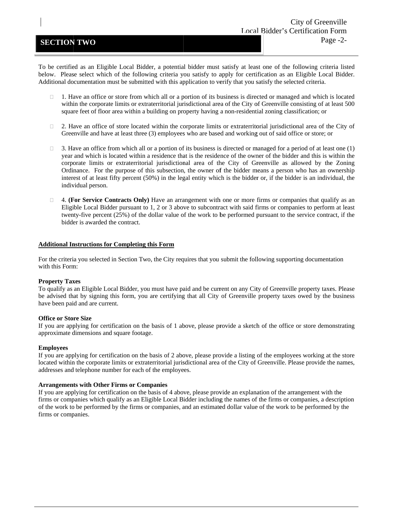## **SECTION TWO**

To be certified as an Eligible Local Bidder, a potential bidder must satisfy at least one of the following criteria listed below. Please select which of the following criteria you satisfy to apply for certification as an Eligible Local Bidder. Additional documentation must be submitted with this application to verify that you satisfy the selected criteria.

- $\Box$  1. Have an office or store from which all or a portion of its business is directed or managed and which is located within the corporate limits or extraterritorial jurisdictional area of the City of Greenville consisting of at least 500 square feet of floor area within a building on property having a non-residential zoning classification; or
- $\Box$  2. Have an office of store located within the corporate limits or extraterritorial jurisdictional area of the City of Greenville and have at least three (3) employees who are based and working out of said office or store; or
- $\Box$  3. Have an office from which all or a portion of its business is directed or managed for a period of at least one (1) year and which is located within a residence that is the residence of the owner of the bidder and this is within the corporate limits or extraterritorial jurisdictional area of the City of Greenville as allowed by the Zoning Ordinance. For the purpose of this subsection, the owner of the bidder means a person who has an ownership interest of at least fifty percent (50%) in the legal entity which is the bidder or, if the bidder is an individual, the individual person.
- □ 4. **(For Service Contracts Only)** Have an arrangement with one or more firms or companies that qualify as an Eligible Local Bidder pursuant to 1, 2 or 3 above to subcontract with said firms or companies to perform at least twenty-five percent (25%) of the dollar value of the work to be performed pursuant to the service contract, if the bidder is awarded the contract.

#### **Additional Instructions for Completing this Form**

For the criteria you selected in Section Two, the City requires that you submit the following supporting documentation with this Form:

### **Property Taxes**

To qualify as an Eligible Local Bidder, you must have paid and be current on any City of Greenville property taxes. Please be advised that by signing this form, you are certifying that all City of Greenville property taxes owed by the business have been paid and are current.

#### **Office or Store Size**

If you are applying for certification on the basis of 1 above, please provide a sketch of the office or store demonstrating approximate dimensions and square footage.

#### **Employees**

If you are applying for certification on the basis of 2 above, please provide a listing of the employees working at the store located within the corporate limits or extraterritorial jurisdictional area of the City of Greenville. Please provide the names, addresses and telephone number for each of the employees.

#### Arrangements with Other Firms or Companies

If you are applying for certification on the basis of 4 above, please provide an explanation of the arrangement with the firms or companies which qualify as an Eligible Local Bidder including the names of the firms or companies, a description of the work to be performed by the firms or companies, and an estimated dollar value of the work to be performed by the firms or companies.